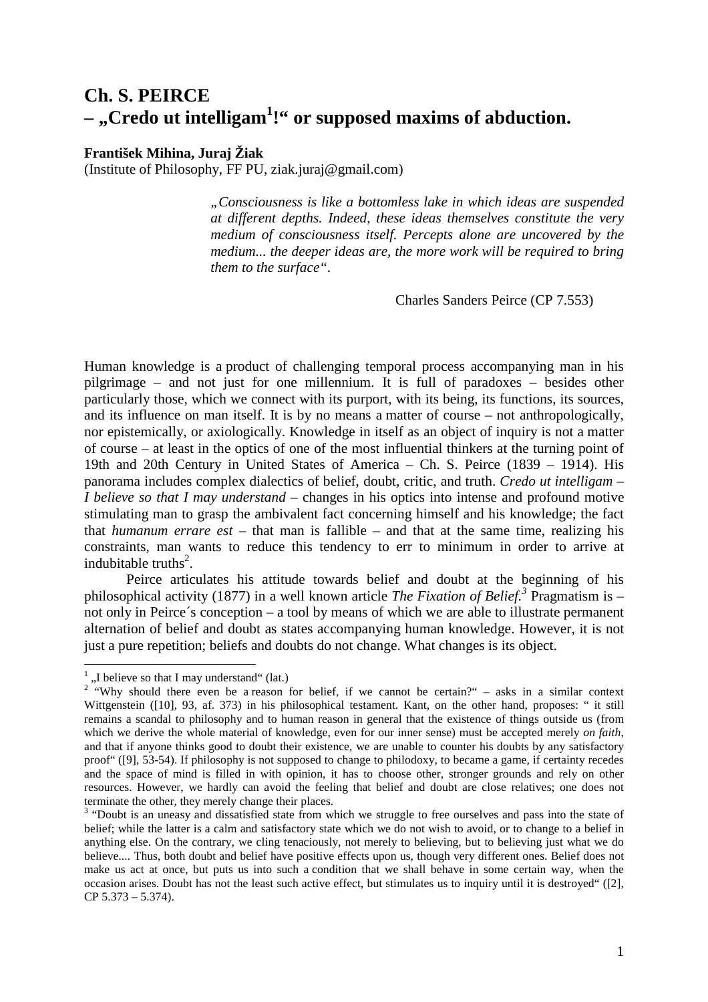## **Ch. S. PEIRCE**  - "Credo ut intelligam<sup>1</sup>!" or supposed maxims of abduction.

## **František Mihina, Juraj Žiak**

(Institute of Philosophy, FF PU, ziak.juraj@gmail.com)

*"Consciousness is like a bottomless lake in which ideas are suspended at different depths. Indeed, these ideas themselves constitute the very medium of consciousness itself. Percepts alone are uncovered by the medium... the deeper ideas are, the more work will be required to bring them to the surface".* 

Charles Sanders Peirce (CP 7.553)

Human knowledge is a product of challenging temporal process accompanying man in his pilgrimage – and not just for one millennium. It is full of paradoxes – besides other particularly those, which we connect with its purport, with its being, its functions, its sources, and its influence on man itself. It is by no means a matter of course – not anthropologically, nor epistemically, or axiologically. Knowledge in itself as an object of inquiry is not a matter of course – at least in the optics of one of the most influential thinkers at the turning point of 19th and 20th Century in United States of America – Ch. S. Peirce (1839 – 1914). His panorama includes complex dialectics of belief, doubt, critic, and truth. *Credo ut intelligam – I believe so that I may understand* – changes in his optics into intense and profound motive stimulating man to grasp the ambivalent fact concerning himself and his knowledge; the fact that *humanum errare est* – that man is fallible – and that at the same time, realizing his constraints, man wants to reduce this tendency to err to minimum in order to arrive at indubitable truths<sup>2</sup>.

Peirce articulates his attitude towards belief and doubt at the beginning of his philosophical activity (1877) in a well known article *The Fixation of Belief.<sup>3</sup>* Pragmatism is – not only in Peirce´s conception – a tool by means of which we are able to illustrate permanent alternation of belief and doubt as states accompanying human knowledge. However, it is not just a pure repetition; beliefs and doubts do not change. What changes is its object.

 $\frac{1}{1}$ , I believe so that I may understand " (lat.)

<sup>&</sup>lt;sup>2</sup> "Why should there even be a reason for belief, if we cannot be certain?" – asks in a similar context Wittgenstein ([10], 93, af. 373) in his philosophical testament. Kant, on the other hand, proposes: " it still remains a scandal to philosophy and to human reason in general that the existence of things outside us (from which we derive the whole material of knowledge, even for our inner sense) must be accepted merely *on faith*, and that if anyone thinks good to doubt their existence, we are unable to counter his doubts by any satisfactory proof" ([9], 53-54). If philosophy is not supposed to change to philodoxy, to became a game, if certainty recedes and the space of mind is filled in with opinion, it has to choose other, stronger grounds and rely on other resources. However, we hardly can avoid the feeling that belief and doubt are close relatives; one does not terminate the other, they merely change their places.

<sup>&</sup>lt;sup>3</sup> "Doubt is an uneasy and dissatisfied state from which we struggle to free ourselves and pass into the state of belief; while the latter is a calm and satisfactory state which we do not wish to avoid, or to change to a belief in anything else. On the contrary, we cling tenaciously, not merely to believing, but to believing just what we do believe.... Thus, both doubt and belief have positive effects upon us, though very different ones. Belief does not make us act at once, but puts us into such a condition that we shall behave in some certain way, when the occasion arises. Doubt has not the least such active effect, but stimulates us to inquiry until it is destroyed" ([2], CP 5.373 – 5.374).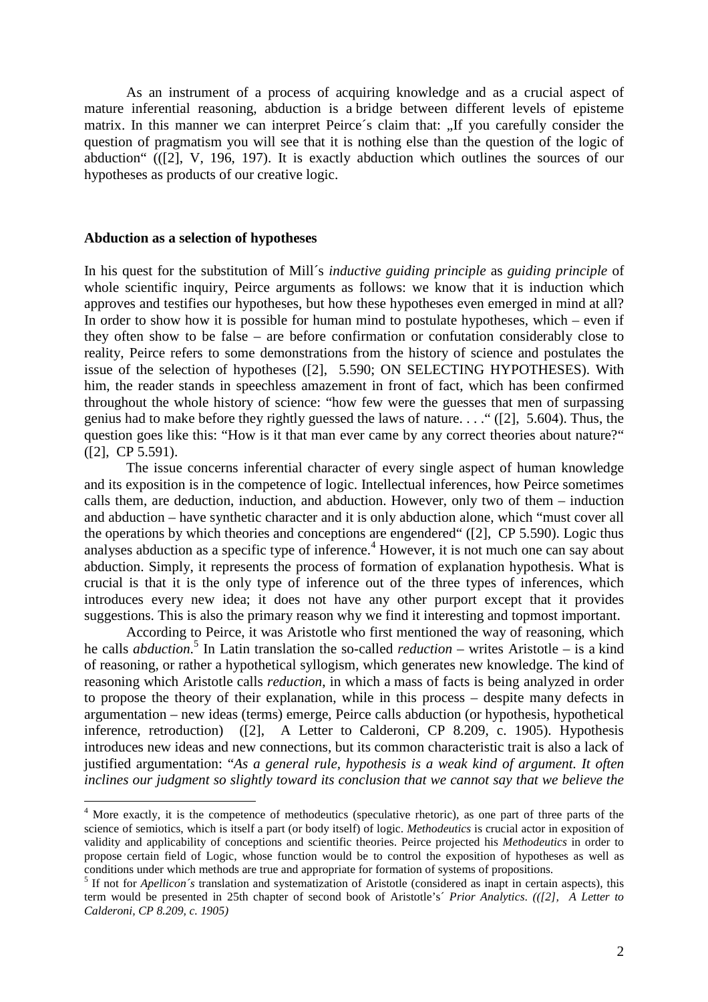As an instrument of a process of acquiring knowledge and as a crucial aspect of mature inferential reasoning, abduction is a bridge between different levels of episteme matrix. In this manner we can interpret Peirce's claim that: "If you carefully consider the question of pragmatism you will see that it is nothing else than the question of the logic of abduction" (([2], V, 196, 197). It is exactly abduction which outlines the sources of our hypotheses as products of our creative logic.

## **Abduction as a selection of hypotheses**

 $\overline{a}$ 

In his quest for the substitution of Mill´s *inductive guiding principle* as *guiding principle* of whole scientific inquiry, Peirce arguments as follows: we know that it is induction which approves and testifies our hypotheses, but how these hypotheses even emerged in mind at all? In order to show how it is possible for human mind to postulate hypotheses, which – even if they often show to be false – are before confirmation or confutation considerably close to reality, Peirce refers to some demonstrations from the history of science and postulates the issue of the selection of hypotheses ([2], 5.590; ON SELECTING HYPOTHESES). With him, the reader stands in speechless amazement in front of fact, which has been confirmed throughout the whole history of science: "how few were the guesses that men of surpassing genius had to make before they rightly guessed the laws of nature. . . ." ([2], 5.604). Thus, the question goes like this: "How is it that man ever came by any correct theories about nature?" ([2], CP 5.591).

The issue concerns inferential character of every single aspect of human knowledge and its exposition is in the competence of logic. Intellectual inferences, how Peirce sometimes calls them, are deduction, induction, and abduction. However, only two of them – induction and abduction – have synthetic character and it is only abduction alone, which "must cover all the operations by which theories and conceptions are engendered" ([2], CP 5.590). Logic thus analyses abduction as a specific type of inference.<sup>4</sup> However, it is not much one can say about abduction. Simply, it represents the process of formation of explanation hypothesis. What is crucial is that it is the only type of inference out of the three types of inferences, which introduces every new idea; it does not have any other purport except that it provides suggestions. This is also the primary reason why we find it interesting and topmost important.

 According to Peirce, it was Aristotle who first mentioned the way of reasoning, which he calls *abduction*. 5 In Latin translation the so-called *reduction* – writes Aristotle – is a kind of reasoning, or rather a hypothetical syllogism, which generates new knowledge. The kind of reasoning which Aristotle calls *reduction*, in which a mass of facts is being analyzed in order to propose the theory of their explanation, while in this process – despite many defects in argumentation – new ideas (terms) emerge, Peirce calls abduction (or hypothesis, hypothetical inference, retroduction) ([2], A Letter to Calderoni, CP 8.209, c. 1905). Hypothesis introduces new ideas and new connections, but its common characteristic trait is also a lack of justified argumentation: "*As a general rule, hypothesis is a weak kind of argument. It often inclines our judgment so slightly toward its conclusion that we cannot say that we believe the* 

<sup>&</sup>lt;sup>4</sup> More exactly, it is the competence of methodeutics (speculative rhetoric), as one part of three parts of the science of semiotics, which is itself a part (or body itself) of logic. *Methodeutics* is crucial actor in exposition of validity and applicability of conceptions and scientific theories. Peirce projected his *Methodeutics* in order to propose certain field of Logic, whose function would be to control the exposition of hypotheses as well as conditions under which methods are true and appropriate for formation of systems of propositions.

<sup>&</sup>lt;sup>5</sup> If not for *Apellicon*'s translation and systematization of Aristotle (considered as inapt in certain aspects), this term would be presented in 25th chapter of second book of Aristotle's´ *Prior Analytics*. *(([2], A Letter to Calderoni, CP 8.209, c. 1905)*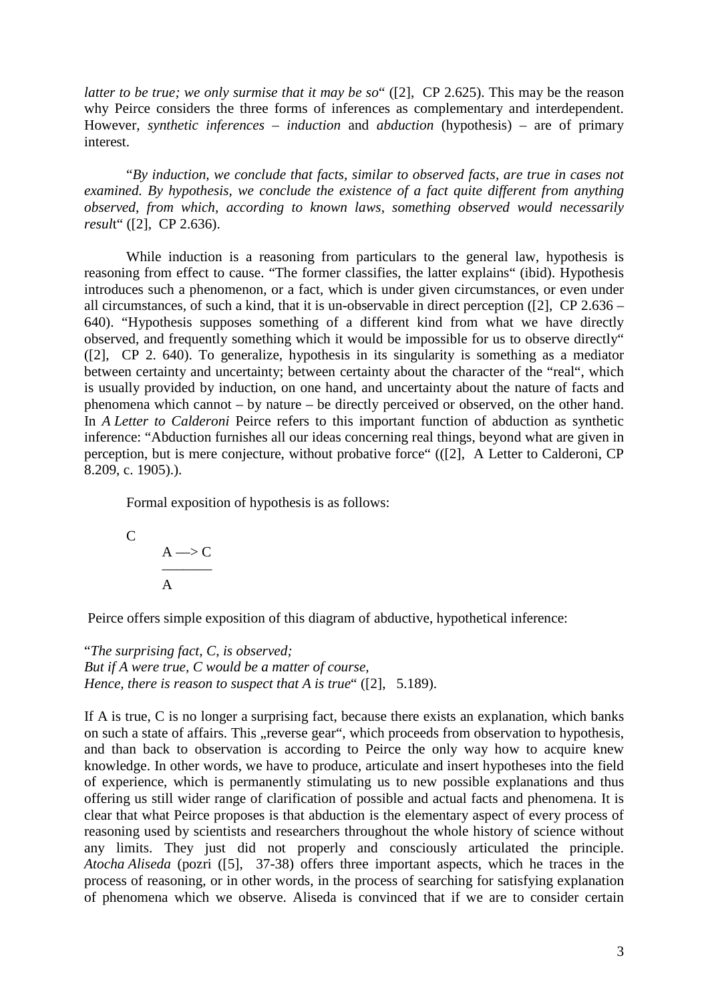*latter to be true; we only surmise that it may be so*" ([2], CP 2.625). This may be the reason why Peirce considers the three forms of inferences as complementary and interdependent. However, *synthetic inferences* – *induction* and *abduction* (hypothesis) – are of primary interest.

"*By induction, we conclude that facts, similar to observed facts, are true in cases not examined. By hypothesis, we conclude the existence of a fact quite different from anything observed, from which, according to known laws, something observed would necessarily resul*t" ([2], CP 2.636).

While induction is a reasoning from particulars to the general law, hypothesis is reasoning from effect to cause. "The former classifies, the latter explains" (ibid). Hypothesis introduces such a phenomenon, or a fact, which is under given circumstances, or even under all circumstances, of such a kind, that it is un-observable in direct perception ([2], CP 2.636 – 640). "Hypothesis supposes something of a different kind from what we have directly observed, and frequently something which it would be impossible for us to observe directly" ([2], CP 2. 640). To generalize, hypothesis in its singularity is something as a mediator between certainty and uncertainty; between certainty about the character of the "real", which is usually provided by induction, on one hand, and uncertainty about the nature of facts and phenomena which cannot – by nature – be directly perceived or observed, on the other hand. In *A Letter to Calderoni* Peirce refers to this important function of abduction as synthetic inference: "Abduction furnishes all our ideas concerning real things, beyond what are given in perception, but is mere conjecture, without probative force" (([2], A Letter to Calderoni, CP 8.209, c. 1905).).

Formal exposition of hypothesis is as follows:

C  $A \rightarrow C$  ––––––– A

Peirce offers simple exposition of this diagram of abductive, hypothetical inference:

"*The surprising fact, C, is observed; But if A were true, C would be a matter of course, Hence, there is reason to suspect that A is true*" ([2], 5.189).

If A is true, C is no longer a surprising fact, because there exists an explanation, which banks on such a state of affairs. This "reverse gear", which proceeds from observation to hypothesis, and than back to observation is according to Peirce the only way how to acquire knew knowledge. In other words, we have to produce, articulate and insert hypotheses into the field of experience, which is permanently stimulating us to new possible explanations and thus offering us still wider range of clarification of possible and actual facts and phenomena. It is clear that what Peirce proposes is that abduction is the elementary aspect of every process of reasoning used by scientists and researchers throughout the whole history of science without any limits. They just did not properly and consciously articulated the principle. *Atocha Aliseda* (pozri ([5], 37-38) offers three important aspects, which he traces in the process of reasoning, or in other words, in the process of searching for satisfying explanation of phenomena which we observe. Aliseda is convinced that if we are to consider certain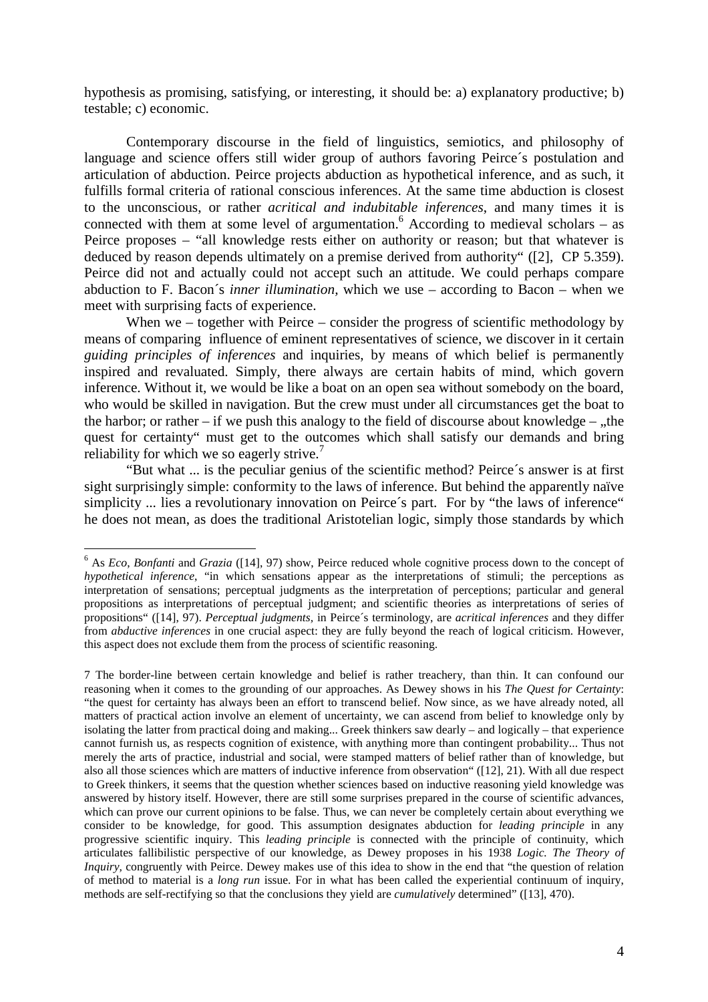hypothesis as promising, satisfying, or interesting, it should be: a) explanatory productive; b) testable; c) economic.

Contemporary discourse in the field of linguistics, semiotics, and philosophy of language and science offers still wider group of authors favoring Peirce´s postulation and articulation of abduction. Peirce projects abduction as hypothetical inference, and as such, it fulfills formal criteria of rational conscious inferences. At the same time abduction is closest to the unconscious, or rather *acritical and indubitable inferences*, and many times it is connected with them at some level of argumentation.  $6$  According to medieval scholars – as Peirce proposes – "all knowledge rests either on authority or reason; but that whatever is deduced by reason depends ultimately on a premise derived from authority" ([2], CP 5.359). Peirce did not and actually could not accept such an attitude. We could perhaps compare abduction to F. Bacon´s *inner illumination,* which we use – according to Bacon – when we meet with surprising facts of experience.

When we – together with Peirce – consider the progress of scientific methodology by means of comparing influence of eminent representatives of science, we discover in it certain *guiding principles of inferences* and inquiries, by means of which belief is permanently inspired and revaluated. Simply, there always are certain habits of mind, which govern inference. Without it, we would be like a boat on an open sea without somebody on the board, who would be skilled in navigation. But the crew must under all circumstances get the boat to the harbor; or rather – if we push this analogy to the field of discourse about knowledge –  $n$ , the quest for certainty" must get to the outcomes which shall satisfy our demands and bring reliability for which we so eagerly strive. $7$ 

"But what ... is the peculiar genius of the scientific method? Peirce´s answer is at first sight surprisingly simple: conformity to the laws of inference. But behind the apparently naïve simplicity ... lies a revolutionary innovation on Peirce's part. For by "the laws of inference" he does not mean, as does the traditional Aristotelian logic, simply those standards by which

 $\overline{a}$ 

<sup>6</sup> As *Eco*, *Bonfanti* and *Grazia* ([14], 97) show, Peirce reduced whole cognitive process down to the concept of *hypothetical inference*, "in which sensations appear as the interpretations of stimuli; the perceptions as interpretation of sensations; perceptual judgments as the interpretation of perceptions; particular and general propositions as interpretations of perceptual judgment; and scientific theories as interpretations of series of propositions" ([14], 97). *Perceptual judgments,* in Peirce´s terminology, are *acritical inferences* and they differ from *abductive inferences* in one crucial aspect: they are fully beyond the reach of logical criticism. However, this aspect does not exclude them from the process of scientific reasoning.

<sup>7</sup> The border-line between certain knowledge and belief is rather treachery, than thin. It can confound our reasoning when it comes to the grounding of our approaches. As Dewey shows in his *The Quest for Certainty*: "the quest for certainty has always been an effort to transcend belief. Now since, as we have already noted, all matters of practical action involve an element of uncertainty, we can ascend from belief to knowledge only by isolating the latter from practical doing and making... Greek thinkers saw dearly – and logically – that experience cannot furnish us, as respects cognition of existence, with anything more than contingent probability... Thus not merely the arts of practice, industrial and social, were stamped matters of belief rather than of knowledge, but also all those sciences which are matters of inductive inference from observation" ([12], 21). With all due respect to Greek thinkers, it seems that the question whether sciences based on inductive reasoning yield knowledge was answered by history itself. However, there are still some surprises prepared in the course of scientific advances, which can prove our current opinions to be false. Thus, we can never be completely certain about everything we consider to be knowledge, for good. This assumption designates abduction for *leading principle* in any progressive scientific inquiry. This *leading principle* is connected with the principle of continuity, which articulates fallibilistic perspective of our knowledge, as Dewey proposes in his 1938 *Logic. The Theory of Inquiry,* congruently with Peirce. Dewey makes use of this idea to show in the end that "the question of relation" of method to material is a *long run* issue. For in what has been called the experiential continuum of inquiry, methods are self-rectifying so that the conclusions they yield are *cumulatively* determined" ([13], 470).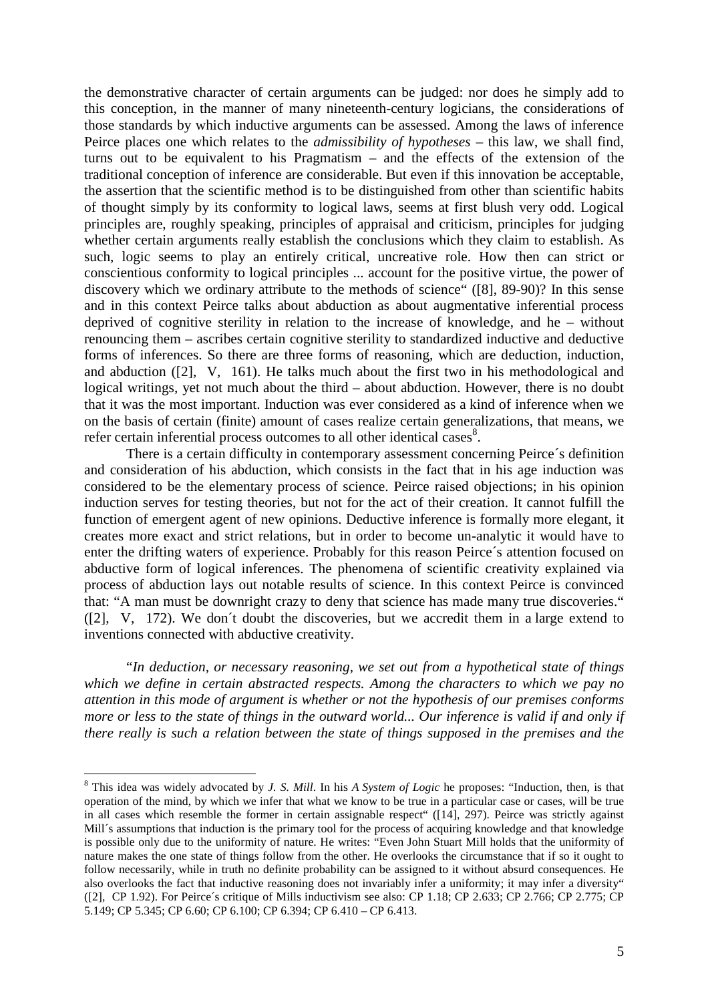the demonstrative character of certain arguments can be judged: nor does he simply add to this conception, in the manner of many nineteenth-century logicians, the considerations of those standards by which inductive arguments can be assessed. Among the laws of inference Peirce places one which relates to the *admissibility of hypotheses* – this law, we shall find, turns out to be equivalent to his Pragmatism – and the effects of the extension of the traditional conception of inference are considerable. But even if this innovation be acceptable, the assertion that the scientific method is to be distinguished from other than scientific habits of thought simply by its conformity to logical laws, seems at first blush very odd. Logical principles are, roughly speaking, principles of appraisal and criticism, principles for judging whether certain arguments really establish the conclusions which they claim to establish. As such, logic seems to play an entirely critical, uncreative role. How then can strict or conscientious conformity to logical principles ... account for the positive virtue, the power of discovery which we ordinary attribute to the methods of science" ([8], 89-90)? In this sense and in this context Peirce talks about abduction as about augmentative inferential process deprived of cognitive sterility in relation to the increase of knowledge, and he – without renouncing them – ascribes certain cognitive sterility to standardized inductive and deductive forms of inferences. So there are three forms of reasoning, which are deduction, induction, and abduction ([2], V, 161). He talks much about the first two in his methodological and logical writings, yet not much about the third – about abduction. However, there is no doubt that it was the most important. Induction was ever considered as a kind of inference when we on the basis of certain (finite) amount of cases realize certain generalizations, that means, we refer certain inferential process outcomes to all other identical cases<sup>8</sup>.

There is a certain difficulty in contemporary assessment concerning Peirce´s definition and consideration of his abduction, which consists in the fact that in his age induction was considered to be the elementary process of science. Peirce raised objections; in his opinion induction serves for testing theories, but not for the act of their creation. It cannot fulfill the function of emergent agent of new opinions. Deductive inference is formally more elegant, it creates more exact and strict relations, but in order to become un-analytic it would have to enter the drifting waters of experience. Probably for this reason Peirce´s attention focused on abductive form of logical inferences. The phenomena of scientific creativity explained via process of abduction lays out notable results of science. In this context Peirce is convinced that: "A man must be downright crazy to deny that science has made many true discoveries." ([2], V, 172). We don´t doubt the discoveries, but we accredit them in a large extend to inventions connected with abductive creativity.

 "*In deduction, or necessary reasoning, we set out from a hypothetical state of things which we define in certain abstracted respects. Among the characters to which we pay no attention in this mode of argument is whether or not the hypothesis of our premises conforms more or less to the state of things in the outward world... Our inference is valid if and only if there really is such a relation between the state of things supposed in the premises and the* 

 $\overline{a}$ 

<sup>8</sup> This idea was widely advocated by *J. S. Mill*. In his *A System of Logic* he proposes: "Induction, then, is that operation of the mind, by which we infer that what we know to be true in a particular case or cases, will be true in all cases which resemble the former in certain assignable respect" ([14], 297). Peirce was strictly against Mill´s assumptions that induction is the primary tool for the process of acquiring knowledge and that knowledge is possible only due to the uniformity of nature. He writes: "Even John Stuart Mill holds that the uniformity of nature makes the one state of things follow from the other. He overlooks the circumstance that if so it ought to follow necessarily, while in truth no definite probability can be assigned to it without absurd consequences. He also overlooks the fact that inductive reasoning does not invariably infer a uniformity; it may infer a diversity" ([2], CP 1.92). For Peirce´s critique of Mills inductivism see also: CP 1.18; CP 2.633; CP 2.766; CP 2.775; CP 5.149; CP 5.345; CP 6.60; CP 6.100; CP 6.394; CP 6.410 – CP 6.413.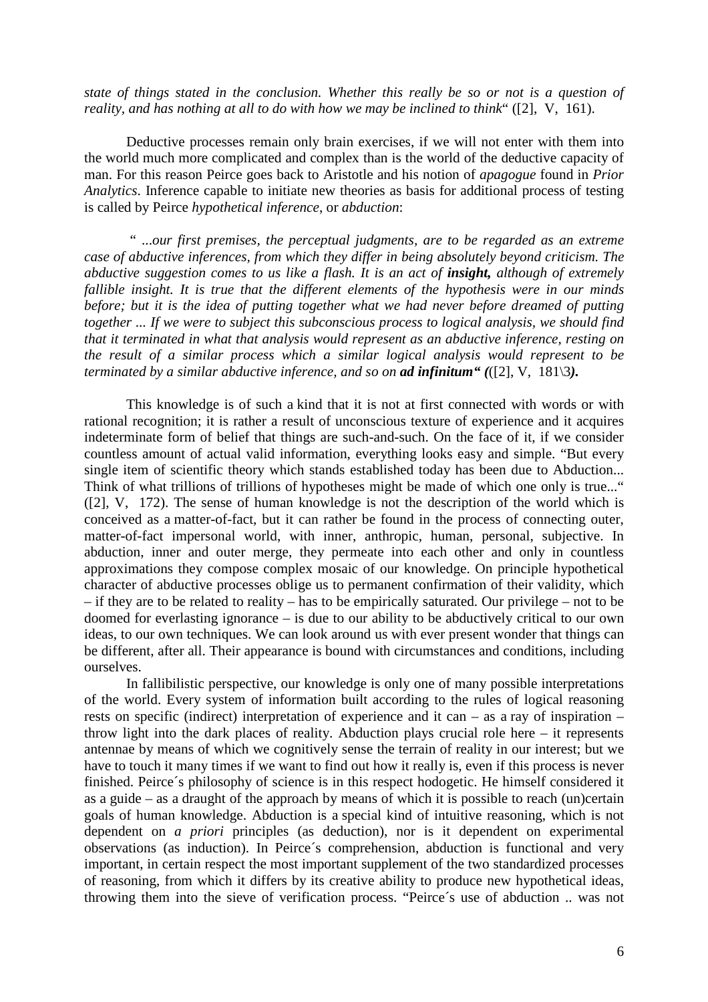*state of things stated in the conclusion. Whether this really be so or not is a question of reality, and has nothing at all to do with how we may be inclined to think*" ([2], V, 161).

Deductive processes remain only brain exercises, if we will not enter with them into the world much more complicated and complex than is the world of the deductive capacity of man. For this reason Peirce goes back to Aristotle and his notion of *apagogue* found in *Prior Analytics*. Inference capable to initiate new theories as basis for additional process of testing is called by Peirce *hypothetical inference*, or *abduction*:

 " ...*our first premises, the perceptual judgments, are to be regarded as an extreme case of abductive inferences, from which they differ in being absolutely beyond criticism. The abductive suggestion comes to us like a flash. It is an act of <i>insight*, *although of extremely fallible insight. It is true that the different elements of the hypothesis were in our minds before; but it is the idea of putting together what we had never before dreamed of putting together ... If we were to subject this subconscious process to logical analysis, we should find that it terminated in what that analysis would represent as an abductive inference, resting on the result of a similar process which a similar logical analysis would represent to be terminated by a similar abductive inference, and so on ad infinitum" (*([2], V, 181\3*).*

This knowledge is of such a kind that it is not at first connected with words or with rational recognition; it is rather a result of unconscious texture of experience and it acquires indeterminate form of belief that things are such-and-such. On the face of it, if we consider countless amount of actual valid information, everything looks easy and simple. "But every single item of scientific theory which stands established today has been due to Abduction... Think of what trillions of trillions of hypotheses might be made of which one only is true..." ([2], V, 172). The sense of human knowledge is not the description of the world which is conceived as a matter-of-fact, but it can rather be found in the process of connecting outer, matter-of-fact impersonal world, with inner, anthropic, human, personal, subjective. In abduction, inner and outer merge, they permeate into each other and only in countless approximations they compose complex mosaic of our knowledge. On principle hypothetical character of abductive processes oblige us to permanent confirmation of their validity, which – if they are to be related to reality – has to be empirically saturated. Our privilege – not to be doomed for everlasting ignorance – is due to our ability to be abductively critical to our own ideas, to our own techniques. We can look around us with ever present wonder that things can be different, after all. Their appearance is bound with circumstances and conditions, including ourselves.

In fallibilistic perspective, our knowledge is only one of many possible interpretations of the world. Every system of information built according to the rules of logical reasoning rests on specific (indirect) interpretation of experience and it can – as a ray of inspiration – throw light into the dark places of reality. Abduction plays crucial role here – it represents antennae by means of which we cognitively sense the terrain of reality in our interest; but we have to touch it many times if we want to find out how it really is, even if this process is never finished. Peirce´s philosophy of science is in this respect hodogetic. He himself considered it as a guide – as a draught of the approach by means of which it is possible to reach (un)certain goals of human knowledge. Abduction is a special kind of intuitive reasoning, which is not dependent on *a priori* principles (as deduction), nor is it dependent on experimental observations (as induction). In Peirce´s comprehension, abduction is functional and very important, in certain respect the most important supplement of the two standardized processes of reasoning, from which it differs by its creative ability to produce new hypothetical ideas, throwing them into the sieve of verification process. "Peirce´s use of abduction .. was not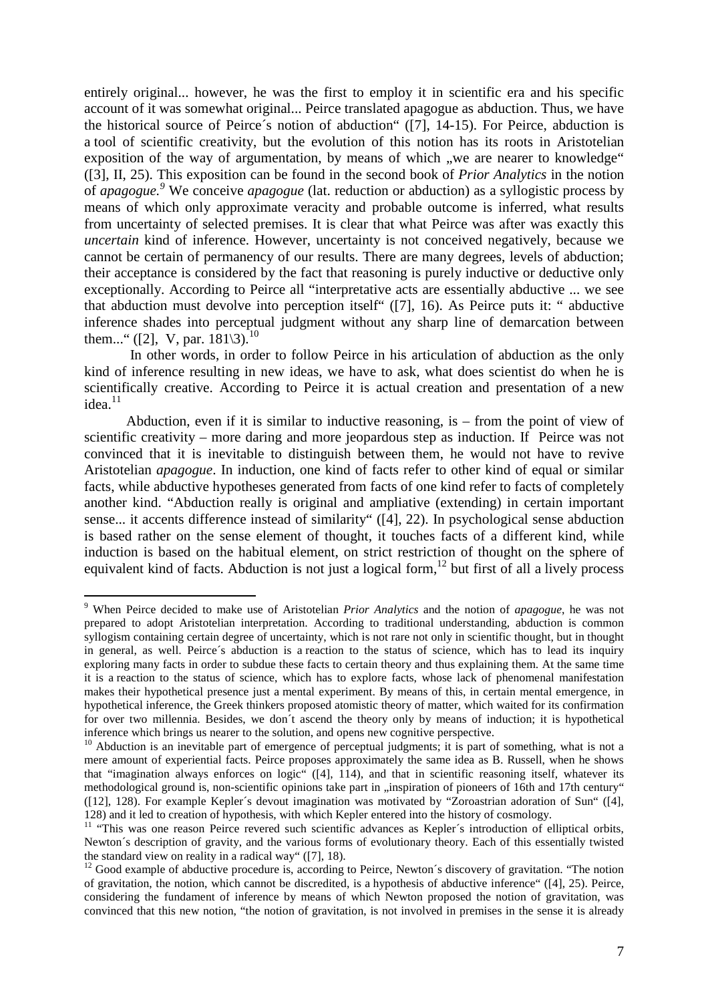entirely original... however, he was the first to employ it in scientific era and his specific account of it was somewhat original... Peirce translated apagogue as abduction. Thus, we have the historical source of Peirce´s notion of abduction" ([7], 14-15). For Peirce, abduction is a tool of scientific creativity, but the evolution of this notion has its roots in Aristotelian exposition of the way of argumentation, by means of which "we are nearer to knowledge" ([3], II, 25). This exposition can be found in the second book of *Prior Analytics* in the notion of *apagogue. 9* We conceive *apagogue* (lat. reduction or abduction) as a syllogistic process by means of which only approximate veracity and probable outcome is inferred, what results from uncertainty of selected premises. It is clear that what Peirce was after was exactly this *uncertain* kind of inference. However, uncertainty is not conceived negatively, because we cannot be certain of permanency of our results. There are many degrees, levels of abduction; their acceptance is considered by the fact that reasoning is purely inductive or deductive only exceptionally. According to Peirce all "interpretative acts are essentially abductive ... we see that abduction must devolve into perception itself" ([7], 16). As Peirce puts it: " abductive inference shades into perceptual judgment without any sharp line of demarcation between them..." ([2], V, par.  $181\backslash3$ ).<sup>10</sup>

 In other words, in order to follow Peirce in his articulation of abduction as the only kind of inference resulting in new ideas, we have to ask, what does scientist do when he is scientifically creative. According to Peirce it is actual creation and presentation of a new  $ideal<sup>11</sup>$ 

Abduction, even if it is similar to inductive reasoning, is – from the point of view of scientific creativity – more daring and more jeopardous step as induction. If Peirce was not convinced that it is inevitable to distinguish between them, he would not have to revive Aristotelian *apagogue*. In induction, one kind of facts refer to other kind of equal or similar facts, while abductive hypotheses generated from facts of one kind refer to facts of completely another kind. "Abduction really is original and ampliative (extending) in certain important sense... it accents difference instead of similarity" ([4], 22). In psychological sense abduction is based rather on the sense element of thought, it touches facts of a different kind, while induction is based on the habitual element, on strict restriction of thought on the sphere of equivalent kind of facts. Abduction is not just a logical form,  $12$  but first of all a lively process

 9 When Peirce decided to make use of Aristotelian *Prior Analytics* and the notion of *apagogue*, he was not prepared to adopt Aristotelian interpretation. According to traditional understanding, abduction is common syllogism containing certain degree of uncertainty, which is not rare not only in scientific thought, but in thought in general, as well. Peirce´s abduction is a reaction to the status of science, which has to lead its inquiry exploring many facts in order to subdue these facts to certain theory and thus explaining them. At the same time it is a reaction to the status of science, which has to explore facts, whose lack of phenomenal manifestation makes their hypothetical presence just a mental experiment. By means of this, in certain mental emergence, in hypothetical inference, the Greek thinkers proposed atomistic theory of matter, which waited for its confirmation for over two millennia. Besides, we don´t ascend the theory only by means of induction; it is hypothetical inference which brings us nearer to the solution, and opens new cognitive perspective.

 $10$  Abduction is an inevitable part of emergence of perceptual judgments; it is part of something, what is not a mere amount of experiential facts. Peirce proposes approximately the same idea as B. Russell, when he shows that "imagination always enforces on logic" ([4], 114), and that in scientific reasoning itself, whatever its methodological ground is, non-scientific opinions take part in "inspiration of pioneers of 16th and 17th century" ([12], 128). For example Kepler´s devout imagination was motivated by "Zoroastrian adoration of Sun" ([4], 128) and it led to creation of hypothesis, with which Kepler entered into the history of cosmology.

<sup>&</sup>lt;sup>11</sup> "This was one reason Peirce revered such scientific advances as Kepler's introduction of elliptical orbits, Newton´s description of gravity, and the various forms of evolutionary theory. Each of this essentially twisted the standard view on reality in a radical way" ([7], 18).

<sup>&</sup>lt;sup>12</sup> Good example of abductive procedure is, according to Peirce, Newton's discovery of gravitation. "The notion of gravitation, the notion, which cannot be discredited, is a hypothesis of abductive inference" ([4], 25). Peirce, considering the fundament of inference by means of which Newton proposed the notion of gravitation, was convinced that this new notion, "the notion of gravitation, is not involved in premises in the sense it is already